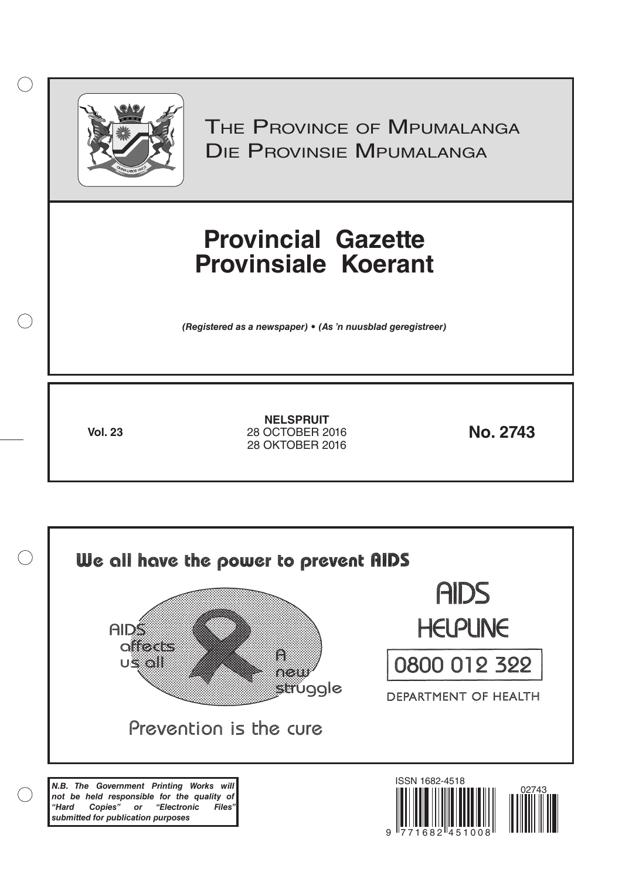

 $( )$ 

THE PROVINCE OF MPUMALANGA Die Provinsie Mpumalanga

# **Provincial Gazette Provinsiale Koerant**

*(Registered as a newspaper) • (As 'n nuusblad geregistreer)*

**Vol. 23 No. 2743** 28 OCTOBER 2016 **NELSPRUIT** 28 OKTOBER 2016

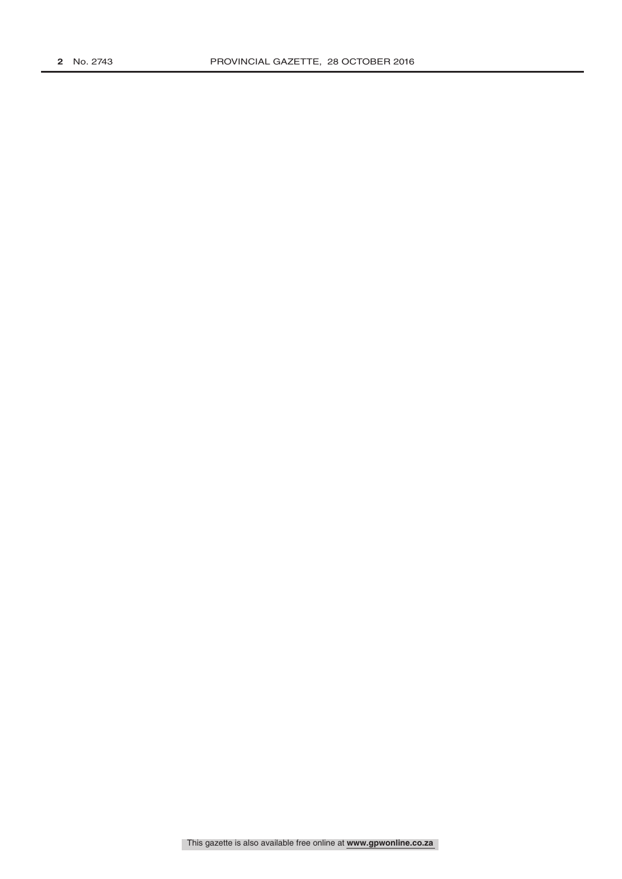This gazette is also available free online at **www.gpwonline.co.za**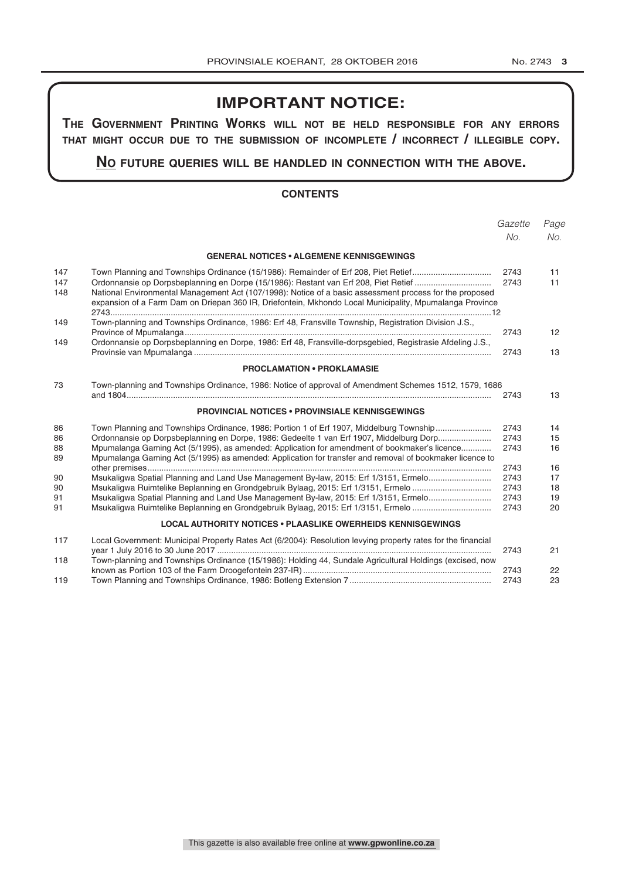# **IMPORTANT NOTICE:**

**The GovernmenT PrinTinG Works Will noT be held resPonsible for any errors ThaT miGhT occur due To The submission of incomPleTe / incorrecT / illeGible coPy.**

# **no fuTure queries Will be handled in connecTion WiTh The above.**

# **CONTENTS**

|                      |                                                                                                                                                                                                                                                                                                                                                                                               | Gazette<br>No.               | Page<br>No.          |
|----------------------|-----------------------------------------------------------------------------------------------------------------------------------------------------------------------------------------------------------------------------------------------------------------------------------------------------------------------------------------------------------------------------------------------|------------------------------|----------------------|
|                      | <b>GENERAL NOTICES • ALGEMENE KENNISGEWINGS</b>                                                                                                                                                                                                                                                                                                                                               |                              |                      |
| 147<br>147<br>148    | National Environmental Management Act (107/1998): Notice of a basic assessment process for the proposed<br>expansion of a Farm Dam on Driepan 360 IR, Driefontein, Mkhondo Local Municipality, Mpumalanga Province                                                                                                                                                                            | 2743<br>2743                 | 11<br>11             |
| 149                  | Town-planning and Townships Ordinance, 1986: Erf 48, Fransville Township, Registration Division J.S.,                                                                                                                                                                                                                                                                                         | 2743                         | 12                   |
| 149                  | Ordonnansie op Dorpsbeplanning en Dorpe, 1986: Erf 48, Fransville-dorpsgebied, Registrasie Afdeling J.S.,                                                                                                                                                                                                                                                                                     | 2743                         | 13                   |
|                      | <b>PROCLAMATION • PROKLAMASIE</b>                                                                                                                                                                                                                                                                                                                                                             |                              |                      |
| 73                   | Town-planning and Townships Ordinance, 1986: Notice of approval of Amendment Schemes 1512, 1579, 1686                                                                                                                                                                                                                                                                                         | 2743                         | 13                   |
|                      | <b>PROVINCIAL NOTICES • PROVINSIALE KENNISGEWINGS</b>                                                                                                                                                                                                                                                                                                                                         |                              |                      |
| 86<br>86<br>88<br>89 | Town Planning and Townships Ordinance, 1986: Portion 1 of Erf 1907, Middelburg Township<br>Ordonnansie op Dorpsbeplanning en Dorpe, 1986: Gedeelte 1 van Erf 1907, Middelburg Dorp<br>Mpumalanga Gaming Act (5/1995), as amended: Application for amendment of bookmaker's licence<br>Mpumalanga Gaming Act (5/1995) as amended: Application for transfer and removal of bookmaker licence to | 2743<br>2743<br>2743<br>2743 | 14<br>15<br>16<br>16 |
| 90<br>90<br>91<br>91 | Msukaligwa Spatial Planning and Land Use Management By-law, 2015: Erf 1/3151, Ermelo<br>Msukaligwa Ruimtelike Beplanning en Grondgebruik Bylaag, 2015: Erf 1/3151, Ermelo<br>Msukaligwa Spatial Planning and Land Use Management By-law, 2015: Erf 1/3151, Ermelo<br>Msukaligwa Ruimtelike Beplanning en Grondgebruik Bylaag, 2015: Erf 1/3151, Ermelo                                        | 2743<br>2743<br>2743<br>2743 | 17<br>18<br>19<br>20 |
|                      | <b>LOCAL AUTHORITY NOTICES • PLAASLIKE OWERHEIDS KENNISGEWINGS</b>                                                                                                                                                                                                                                                                                                                            |                              |                      |
| 117<br>118           | Local Government: Municipal Property Rates Act (6/2004): Resolution levying property rates for the financial<br>Town-planning and Townships Ordinance (15/1986): Holding 44, Sundale Agricultural Holdings (excised, now                                                                                                                                                                      | 2743                         | 21                   |
| 119                  |                                                                                                                                                                                                                                                                                                                                                                                               | 2743<br>2743                 | 22<br>23             |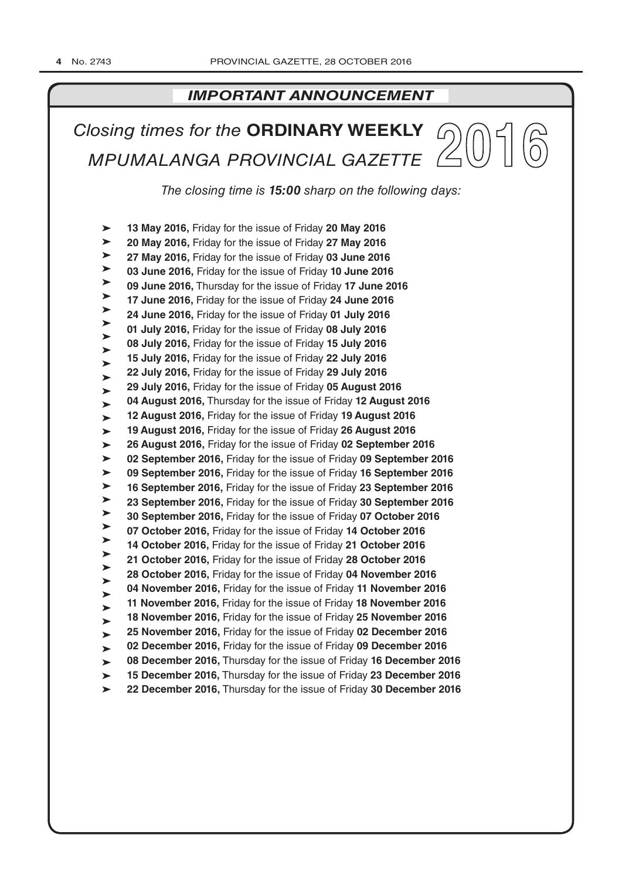# *IMPORTANT ANNOUNCEMENT*

*Closing times for the* **ORDINARY WEEKLY**  *MPUMALANGA PROVINCIAL GAZETTE*

*The closing time is 15:00 sharp on the following days:*

➤ ➤ ➤ ➤ ➤ ➤ ➤ ➤ ➤ ➤ ➤ ➤ ➤ ➤ ➤ ➤ ➤ ➤ ➤ ➤ ➤ ➤ ➤ ➤ ➤ ➤ ➤ ➤ ➤ ➤ ➤ ➤ ➤ ➤ ➤ **13 May 2016,** Friday for the issue of Friday **20 May 2016 20 May 2016,** Friday for the issue of Friday **27 May 2016 27 May 2016,** Friday for the issue of Friday **03 June 2016 03 June 2016,** Friday for the issue of Friday **10 June 2016 09 June 2016,** Thursday for the issue of Friday **17 June 2016 17 June 2016,** Friday for the issue of Friday **24 June 2016 24 June 2016,** Friday for the issue of Friday **01 July 2016 01 July 2016,** Friday for the issue of Friday **08 July 2016 08 July 2016,** Friday for the issue of Friday **15 July 2016 15 July 2016,** Friday for the issue of Friday **22 July 2016 22 July 2016,** Friday for the issue of Friday **29 July 2016 29 July 2016,** Friday for the issue of Friday **05 August 2016 04 August 2016,** Thursday for the issue of Friday **12 August 2016 12 August 2016,** Friday for the issue of Friday **19 August 2016 19 August 2016,** Friday for the issue of Friday **26 August 2016 26 August 2016,** Friday for the issue of Friday **02 September 2016 02 September 2016,** Friday for the issue of Friday **09 September 2016 09 September 2016,** Friday for the issue of Friday **16 September 2016 16 September 2016,** Friday for the issue of Friday **23 September 2016 23 September 2016,** Friday for the issue of Friday **30 September 2016 30 September 2016,** Friday for the issue of Friday **07 October 2016 07 October 2016,** Friday for the issue of Friday **14 October 2016 14 October 2016,** Friday for the issue of Friday **21 October 2016 21 October 2016,** Friday for the issue of Friday **28 October 2016 28 October 2016,** Friday for the issue of Friday **04 November 2016 04 November 2016,** Friday for the issue of Friday **11 November 2016 11 November 2016,** Friday for the issue of Friday **18 November 2016 18 November 2016,** Friday for the issue of Friday **25 November 2016 25 November 2016,** Friday for the issue of Friday **02 December 2016 02 December 2016,** Friday for the issue of Friday **09 December 2016 08 December 2016,** Thursday for the issue of Friday **16 December 2016 15 December 2016,** Thursday for the issue of Friday **23 December 2016 22 December 2016,** Thursday for the issue of Friday **30 December 2016**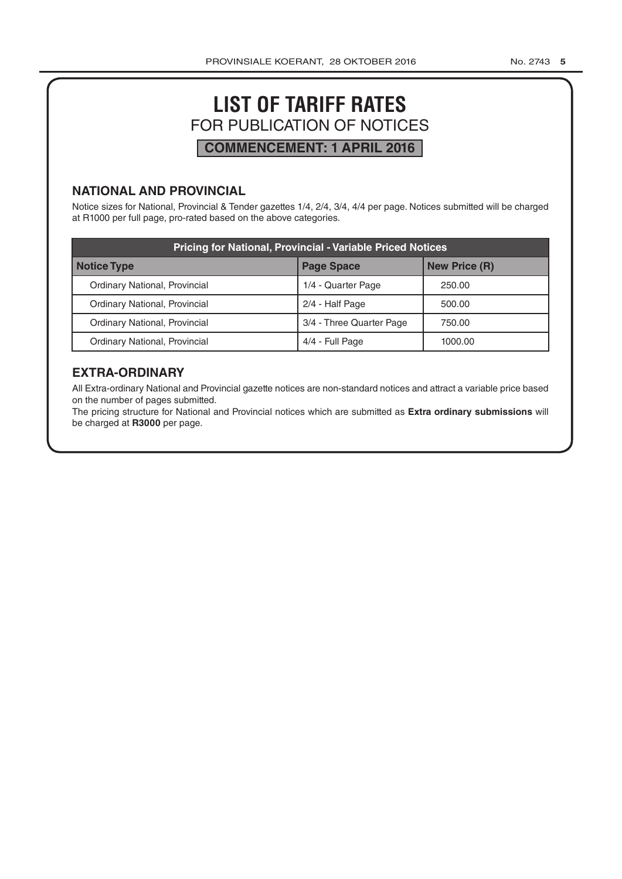# **LIST OF TARIFF RATES** FOR PUBLICATION OF NOTICES **COMMENCEMENT: 1 APRIL 2016**

# **NATIONAL AND PROVINCIAL**

Notice sizes for National, Provincial & Tender gazettes 1/4, 2/4, 3/4, 4/4 per page. Notices submitted will be charged at R1000 per full page, pro-rated based on the above categories.

| <b>Pricing for National, Provincial - Variable Priced Notices</b> |                          |                      |  |
|-------------------------------------------------------------------|--------------------------|----------------------|--|
| <b>Notice Type</b>                                                | <b>Page Space</b>        | <b>New Price (R)</b> |  |
| Ordinary National, Provincial                                     | 1/4 - Quarter Page       | 250.00               |  |
| Ordinary National, Provincial                                     | 2/4 - Half Page          | 500.00               |  |
| Ordinary National, Provincial                                     | 3/4 - Three Quarter Page | 750.00               |  |
| Ordinary National, Provincial                                     | 4/4 - Full Page          | 1000.00              |  |

# **EXTRA-ORDINARY**

All Extra-ordinary National and Provincial gazette notices are non-standard notices and attract a variable price based on the number of pages submitted.

The pricing structure for National and Provincial notices which are submitted as **Extra ordinary submissions** will be charged at **R3000** per page.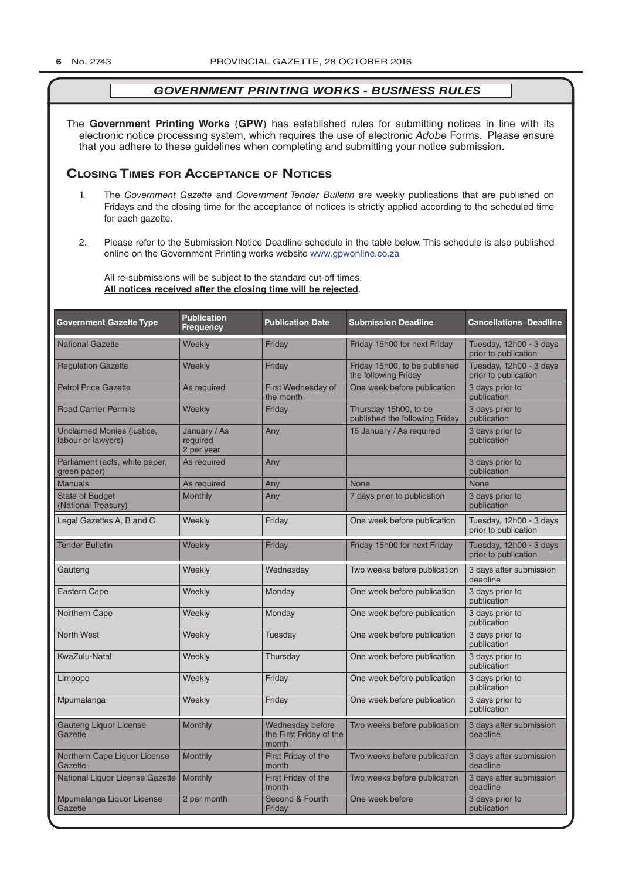The **Government Printing Works** (**GPW**) has established rules for submitting notices in line with its electronic notice processing system, which requires the use of electronic *Adobe* Forms. Please ensure that you adhere to these guidelines when completing and submitting your notice submission.

# **Closing Times for ACCepTAnCe of noTiCes**

- 1. The *Government Gazette* and *Government Tender Bulletin* are weekly publications that are published on Fridays and the closing time for the acceptance of notices is strictly applied according to the scheduled time for each gazette.
- 2. Please refer to the Submission Notice Deadline schedule in the table below. This schedule is also published online on the Government Printing works website www.gpwonline.co.za

All re-submissions will be subject to the standard cut-off times. **All notices received after the closing time will be rejected**.

| <b>Government Gazette Type</b>                          | <b>Publication</b><br><b>Frequency</b> | <b>Publication Date</b>                              | <b>Submission Deadline</b>                              | <b>Cancellations Deadline</b>                   |
|---------------------------------------------------------|----------------------------------------|------------------------------------------------------|---------------------------------------------------------|-------------------------------------------------|
| <b>National Gazette</b>                                 | Weekly                                 | Friday                                               | Friday 15h00 for next Friday                            | Tuesday, 12h00 - 3 days<br>prior to publication |
| <b>Regulation Gazette</b>                               | Weekly                                 | Friday                                               | Friday 15h00, to be published<br>the following Friday   | Tuesday, 12h00 - 3 days<br>prior to publication |
| <b>Petrol Price Gazette</b>                             | As required                            | First Wednesday of<br>the month                      | One week before publication                             | 3 days prior to<br>publication                  |
| <b>Road Carrier Permits</b>                             | Weekly                                 | Friday                                               | Thursday 15h00, to be<br>published the following Friday | 3 days prior to<br>publication                  |
| <b>Unclaimed Monies (justice,</b><br>labour or lawyers) | January / As<br>required<br>2 per year | Any                                                  | 15 January / As required                                | 3 days prior to<br>publication                  |
| Parliament (acts, white paper,<br>green paper)          | As required                            | Any                                                  |                                                         | 3 days prior to<br>publication                  |
| <b>Manuals</b>                                          | As required                            | Any                                                  | <b>None</b>                                             | <b>None</b>                                     |
| <b>State of Budget</b><br>(National Treasury)           | Monthly                                | Any                                                  | 7 days prior to publication                             | 3 days prior to<br>publication                  |
| Legal Gazettes A, B and C                               | Weekly                                 | Friday                                               | One week before publication                             | Tuesday, 12h00 - 3 days<br>prior to publication |
| <b>Tender Bulletin</b>                                  | Weekly                                 | Friday                                               | Friday 15h00 for next Friday                            | Tuesday, 12h00 - 3 days<br>prior to publication |
| Gauteng                                                 | Weekly                                 | Wednesday                                            | Two weeks before publication                            | 3 days after submission<br>deadline             |
| <b>Eastern Cape</b>                                     | Weekly                                 | Monday                                               | One week before publication                             | 3 days prior to<br>publication                  |
| Northern Cape                                           | Weekly                                 | Monday                                               | One week before publication                             | 3 days prior to<br>publication                  |
| <b>North West</b>                                       | Weekly                                 | Tuesday                                              | One week before publication                             | 3 days prior to<br>publication                  |
| KwaZulu-Natal                                           | Weekly                                 | Thursday                                             | One week before publication                             | 3 days prior to<br>publication                  |
| Limpopo                                                 | Weekly                                 | Friday                                               | One week before publication                             | 3 days prior to<br>publication                  |
| Mpumalanga                                              | Weekly                                 | Friday                                               | One week before publication                             | 3 days prior to<br>publication                  |
| <b>Gauteng Liquor License</b><br>Gazette                | Monthly                                | Wednesday before<br>the First Friday of the<br>month | Two weeks before publication                            | 3 days after submission<br>deadline             |
| Northern Cape Liquor License<br>Gazette                 | Monthly                                | First Friday of the<br>month                         | Two weeks before publication                            | 3 days after submission<br>deadline             |
| National Liquor License Gazette                         | Monthly                                | First Friday of the<br>month                         | Two weeks before publication                            | 3 days after submission<br>deadline             |
| Mpumalanga Liquor License<br>Gazette                    | 2 per month                            | Second & Fourth<br>Friday                            | One week before                                         | 3 days prior to<br>publication                  |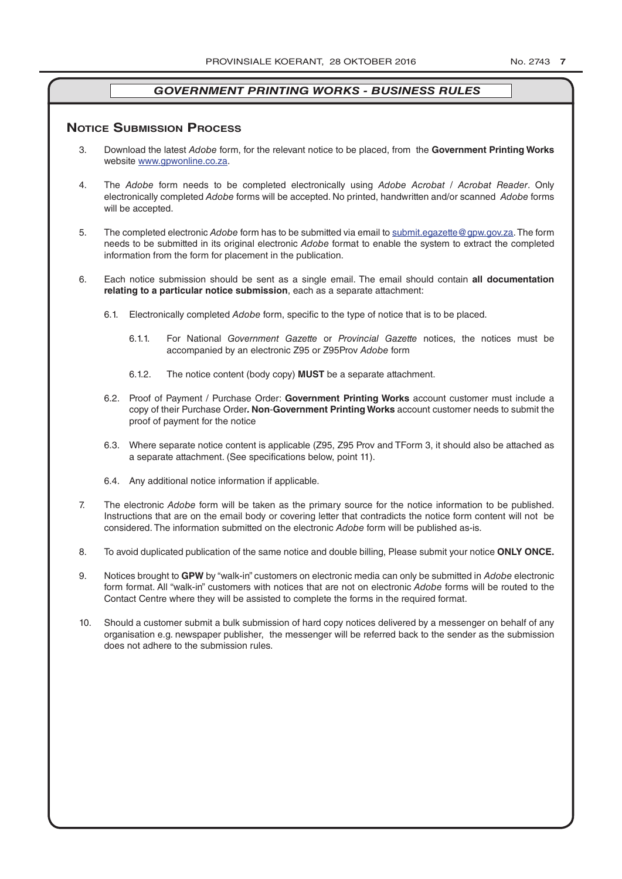# **NOTICE SUBMISSION PROCESS**

- 3. Download the latest *Adobe* form, for the relevant notice to be placed, from the **Government Printing Works** website www.gpwonline.co.za.
- 4. The *Adobe* form needs to be completed electronically using *Adobe Acrobat* / *Acrobat Reader*. Only electronically completed *Adobe* forms will be accepted. No printed, handwritten and/or scanned *Adobe* forms will be accepted.
- 5. The completed electronic *Adobe* form has to be submitted via email to submit.egazette@gpw.gov.za. The form needs to be submitted in its original electronic *Adobe* format to enable the system to extract the completed information from the form for placement in the publication.
- 6. Each notice submission should be sent as a single email. The email should contain **all documentation relating to a particular notice submission**, each as a separate attachment:
	- 6.1. Electronically completed *Adobe* form, specific to the type of notice that is to be placed.
		- 6.1.1. For National *Government Gazette* or *Provincial Gazette* notices, the notices must be accompanied by an electronic Z95 or Z95Prov *Adobe* form
		- 6.1.2. The notice content (body copy) **MUST** be a separate attachment.
	- 6.2. Proof of Payment / Purchase Order: **Government Printing Works** account customer must include a copy of their Purchase Order*.* **Non**-**Government Printing Works** account customer needs to submit the proof of payment for the notice
	- 6.3. Where separate notice content is applicable (Z95, Z95 Prov and TForm 3, it should also be attached as a separate attachment. (See specifications below, point 11).
	- 6.4. Any additional notice information if applicable.
- 7. The electronic *Adobe* form will be taken as the primary source for the notice information to be published. Instructions that are on the email body or covering letter that contradicts the notice form content will not be considered. The information submitted on the electronic *Adobe* form will be published as-is.
- 8. To avoid duplicated publication of the same notice and double billing, Please submit your notice **ONLY ONCE.**
- 9. Notices brought to **GPW** by "walk-in" customers on electronic media can only be submitted in *Adobe* electronic form format. All "walk-in" customers with notices that are not on electronic *Adobe* forms will be routed to the Contact Centre where they will be assisted to complete the forms in the required format.
- 10. Should a customer submit a bulk submission of hard copy notices delivered by a messenger on behalf of any organisation e.g. newspaper publisher, the messenger will be referred back to the sender as the submission does not adhere to the submission rules.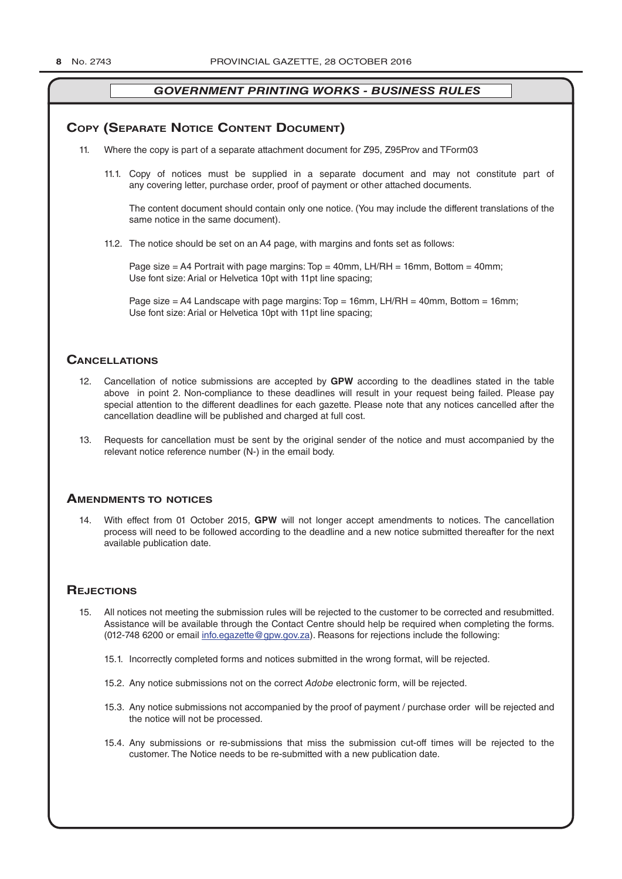# **COPY (SEPARATE NOTICE CONTENT DOCUMENT)**

- 11. Where the copy is part of a separate attachment document for Z95, Z95Prov and TForm03
	- 11.1. Copy of notices must be supplied in a separate document and may not constitute part of any covering letter, purchase order, proof of payment or other attached documents.

The content document should contain only one notice. (You may include the different translations of the same notice in the same document).

11.2. The notice should be set on an A4 page, with margins and fonts set as follows:

Page size  $=$  A4 Portrait with page margins: Top  $=$  40mm, LH/RH  $=$  16mm, Bottom  $=$  40mm; Use font size: Arial or Helvetica 10pt with 11pt line spacing;

Page size = A4 Landscape with page margins:  $Top = 16$ mm, LH/RH = 40mm, Bottom = 16mm; Use font size: Arial or Helvetica 10pt with 11pt line spacing;

# **CAnCellATions**

- 12. Cancellation of notice submissions are accepted by **GPW** according to the deadlines stated in the table above in point 2. Non-compliance to these deadlines will result in your request being failed. Please pay special attention to the different deadlines for each gazette. Please note that any notices cancelled after the cancellation deadline will be published and charged at full cost.
- 13. Requests for cancellation must be sent by the original sender of the notice and must accompanied by the relevant notice reference number (N-) in the email body.

# **AmenDmenTs To noTiCes**

14. With effect from 01 October 2015, **GPW** will not longer accept amendments to notices. The cancellation process will need to be followed according to the deadline and a new notice submitted thereafter for the next available publication date.

# **REJECTIONS**

- 15. All notices not meeting the submission rules will be rejected to the customer to be corrected and resubmitted. Assistance will be available through the Contact Centre should help be required when completing the forms. (012-748 6200 or email info.egazette@gpw.gov.za). Reasons for rejections include the following:
	- 15.1. Incorrectly completed forms and notices submitted in the wrong format, will be rejected.
	- 15.2. Any notice submissions not on the correct *Adobe* electronic form, will be rejected.
	- 15.3. Any notice submissions not accompanied by the proof of payment / purchase order will be rejected and the notice will not be processed.
	- 15.4. Any submissions or re-submissions that miss the submission cut-off times will be rejected to the customer. The Notice needs to be re-submitted with a new publication date.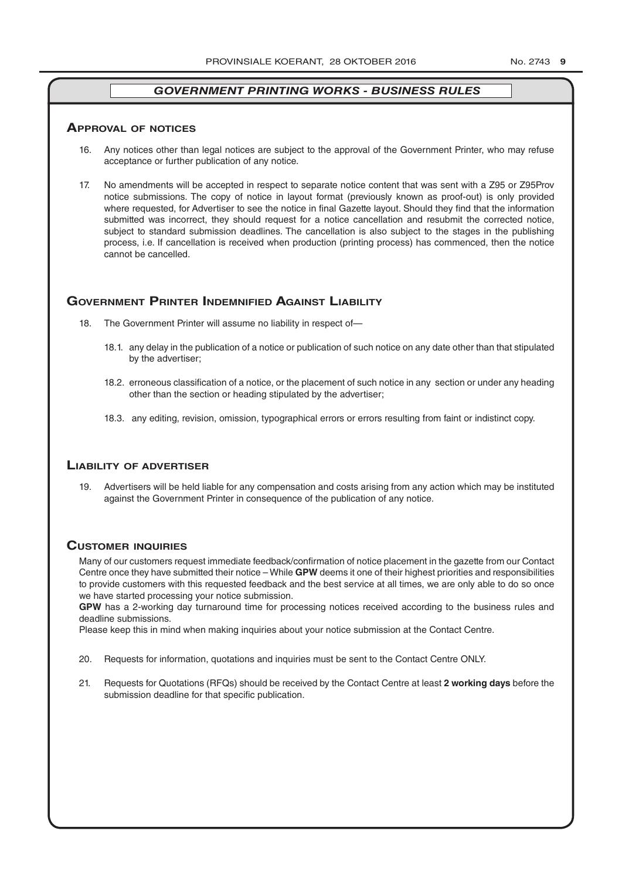#### **ApprovAl of noTiCes**

- 16. Any notices other than legal notices are subject to the approval of the Government Printer, who may refuse acceptance or further publication of any notice.
- 17. No amendments will be accepted in respect to separate notice content that was sent with a Z95 or Z95Prov notice submissions. The copy of notice in layout format (previously known as proof-out) is only provided where requested, for Advertiser to see the notice in final Gazette layout. Should they find that the information submitted was incorrect, they should request for a notice cancellation and resubmit the corrected notice, subject to standard submission deadlines. The cancellation is also subject to the stages in the publishing process, i.e. If cancellation is received when production (printing process) has commenced, then the notice cannot be cancelled.

# **governmenT prinTer inDemnifieD AgAinsT liAbiliTy**

- 18. The Government Printer will assume no liability in respect of—
	- 18.1. any delay in the publication of a notice or publication of such notice on any date other than that stipulated by the advertiser;
	- 18.2. erroneous classification of a notice, or the placement of such notice in any section or under any heading other than the section or heading stipulated by the advertiser;
	- 18.3. any editing, revision, omission, typographical errors or errors resulting from faint or indistinct copy.

## **liAbiliTy of ADverTiser**

19. Advertisers will be held liable for any compensation and costs arising from any action which may be instituted against the Government Printer in consequence of the publication of any notice.

# **CusTomer inquiries**

Many of our customers request immediate feedback/confirmation of notice placement in the gazette from our Contact Centre once they have submitted their notice – While **GPW** deems it one of their highest priorities and responsibilities to provide customers with this requested feedback and the best service at all times, we are only able to do so once we have started processing your notice submission.

**GPW** has a 2-working day turnaround time for processing notices received according to the business rules and deadline submissions.

Please keep this in mind when making inquiries about your notice submission at the Contact Centre.

- 20. Requests for information, quotations and inquiries must be sent to the Contact Centre ONLY.
- 21. Requests for Quotations (RFQs) should be received by the Contact Centre at least **2 working days** before the submission deadline for that specific publication.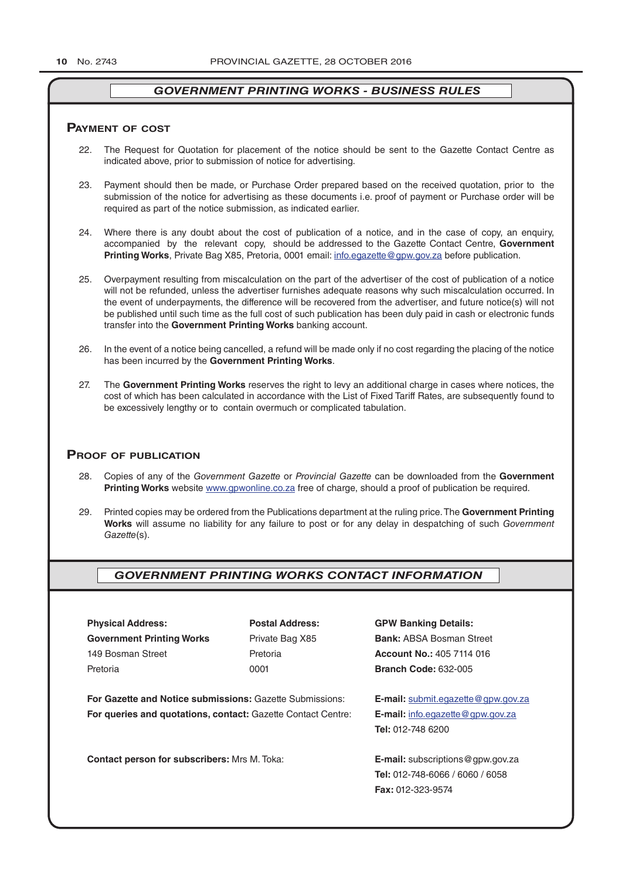#### **pAymenT of CosT**

- 22. The Request for Quotation for placement of the notice should be sent to the Gazette Contact Centre as indicated above, prior to submission of notice for advertising.
- 23. Payment should then be made, or Purchase Order prepared based on the received quotation, prior to the submission of the notice for advertising as these documents i.e. proof of payment or Purchase order will be required as part of the notice submission, as indicated earlier.
- 24. Where there is any doubt about the cost of publication of a notice, and in the case of copy, an enquiry, accompanied by the relevant copy, should be addressed to the Gazette Contact Centre, **Government Printing Works**, Private Bag X85, Pretoria, 0001 email: info.egazette@gpw.gov.za before publication.
- 25. Overpayment resulting from miscalculation on the part of the advertiser of the cost of publication of a notice will not be refunded, unless the advertiser furnishes adequate reasons why such miscalculation occurred. In the event of underpayments, the difference will be recovered from the advertiser, and future notice(s) will not be published until such time as the full cost of such publication has been duly paid in cash or electronic funds transfer into the **Government Printing Works** banking account.
- 26. In the event of a notice being cancelled, a refund will be made only if no cost regarding the placing of the notice has been incurred by the **Government Printing Works**.
- 27. The **Government Printing Works** reserves the right to levy an additional charge in cases where notices, the cost of which has been calculated in accordance with the List of Fixed Tariff Rates, are subsequently found to be excessively lengthy or to contain overmuch or complicated tabulation.

# **proof of publiCATion**

- 28. Copies of any of the *Government Gazette* or *Provincial Gazette* can be downloaded from the **Government Printing Works** website www.gpwonline.co.za free of charge, should a proof of publication be required.
- 29. Printed copies may be ordered from the Publications department at the ruling price. The **Government Printing Works** will assume no liability for any failure to post or for any delay in despatching of such *Government Gazette*(s).

# *GOVERNMENT PRINTING WORKS CONTACT INFORMATION*

**Physical Address: Postal Address: GPW Banking Details: Government Printing Works** Private Bag X85 **Bank:** ABSA Bosman Street 149 Bosman Street Pretoria **Account No.:** 405 7114 016 Pretoria 0001 **Branch Code:** 632-005

**For Gazette and Notice submissions:** Gazette Submissions: **E-mail:** submit.egazette@gpw.gov.za **For queries and quotations, contact:** Gazette Contact Centre: **E-mail:** info.egazette@gpw.gov.za

**Contact person for subscribers:** Mrs M. Toka: **E-mail:** subscriptions@gpw.gov.za

**Tel:** 012-748 6200

**Tel:** 012-748-6066 / 6060 / 6058 **Fax:** 012-323-9574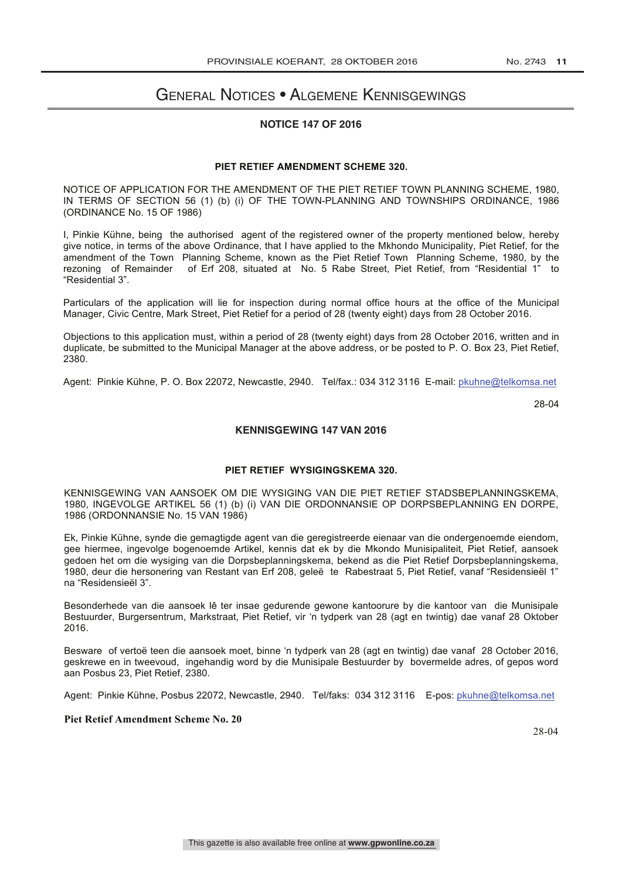# General Notices • Algemene Kennisgewings

# **NOTICE 147 OF 2016**

#### **PIET RETIEF AMENDMENT SCHEME 320.**

NOTICE OF APPLICATION FOR THE AMENDMENT OF THE PIET RETIEF TOWN PLANNING SCHEME, 1980, IN TERMS OF SECTION 56 (1) (b) (i) OF THE TOWN-PLANNING AND TOWNSHIPS ORDINANCE, 1986 (ORDINANCE No. 15 OF 1986)

I, Pinkie Kühne, being the authorised agent of the registered owner of the property mentioned below, hereby give notice, in terms of the above Ordinance, that I have applied to the Mkhondo Municipality, Piet Retief, for the amendment of the Town Planning Scheme, known as the Piet Retief Town Planning Scheme, 1980, by the rezoning of Remainder of Erf 208, situated at No. 5 Rabe Street, Piet Retief, from "Residential 1" to "Residential 3".

Particulars of the application will lie for inspection during normal office hours at the office of the Municipal Manager, Civic Centre, Mark Street, Piet Retief for a period of 28 (twenty eight) days from 28 October 2016.

Objections to this application must, within a period of 28 (twenty eight) days from 28 October 2016, written and in duplicate, be submitted to the Municipal Manager at the above address, or be posted to P. O. Box 23, Piet Retief, 2380.

Agent: Pinkie Kühne, P. O. Box 22072, Newcastle, 2940. Tel/fax.: 034 312 3116 E-mail: pkuhne@telkomsa.net

28-04

### **KENNISGEWING 147 VAN 2016**

### **PIET RETIEF WYSIGINGSKEMA 320.**

KENNISGEWING VAN AANSOEK OM DIE WYSIGING VAN DIE PIET RETIEF STADSBEPLANNINGSKEMA, 1980, INGEVOLGE ARTIKEL 56 (1) (b) (i) VAN DIE ORDONNANSIE OP DORPSBEPLANNING EN DORPE, 1986 (ORDONNANSIE No. 15 VAN 1986)

Ek, Pinkie Kühne, synde die gemagtigde agent van die geregistreerde eienaar van die ondergenoemde eiendom, gee hiermee, ingevolge bogenoemde Artikel, kennis dat ek by die Mkondo Munisipaliteit, Piet Retief, aansoek gedoen het om die wysiging van die Dorpsbeplanningskema, bekend as die Piet Retief Dorpsbeplanningskema, 1980, deur die hersonering van Restant van Erf 208, geleë te Rabestraat 5, Piet Retief, vanaf "Residensieёl 1" na "Residensieël 3".

Besonderhede van die aansoek lê ter insae gedurende gewone kantoorure by die kantoor van die Munisipale Bestuurder, Burgersentrum, Markstraat, Piet Retief, vir 'n tydperk van 28 (agt en twintig) dae vanaf 28 Oktober 2016.

Besware of vertoё teen die aansoek moet, binne 'n tydperk van 28 (agt en twintig) dae vanaf 28 October 2016, geskrewe en in tweevoud, ingehandig word by die Munisipale Bestuurder by bovermelde adres, of gepos word aan Posbus 23, Piet Retief, 2380.

Agent: Pinkie Kühne, Posbus 22072, Newcastle, 2940. Tel/faks: 034 312 3116 E-pos: pkuhne@telkomsa.net

### **Piet Retief Amendment Scheme No. 20**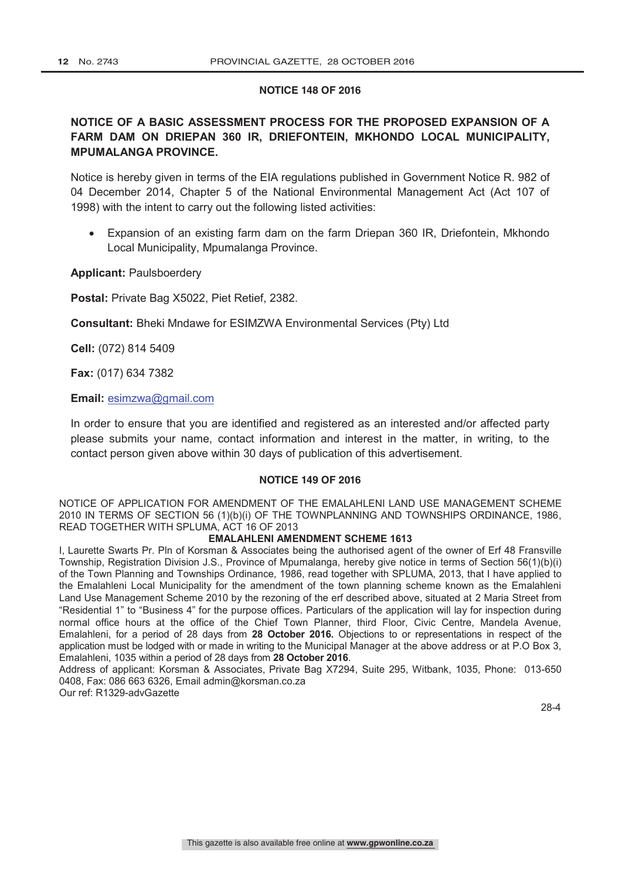# **NOTICE 148 OF 2016**

# **NOTICE OF A BASIC ASSESSMENT PROCESS FOR THE PROPOSED EXPANSION OF A FARM DAM ON DRIEPAN 360 IR, DRIEFONTEIN, MKHONDO LOCAL MUNICIPALITY, MPUMALANGA PROVINCE.**

Notice is hereby given in terms of the EIA regulations published in Government Notice R. 982 of 04 December 2014, Chapter 5 of the National Environmental Management Act (Act 107 of 1998) with the intent to carry out the following listed activities:

 Expansion of an existing farm dam on the farm Driepan 360 IR, Driefontein, Mkhondo Local Municipality, Mpumalanga Province. KENNISGEWING VAN AANSOEK OM WYSIGING VAN DIE EMALAHLENISGEWING VAN DIE EMALAHLENISGEWING VAN DIE EMALAHLENISGE

**Applicant:** Paulsboerdery **GROUNDERS ARTICEL 56(1)** 2010 INGEVOLGE ARTICEL 56(1)  $\mathcal{L}_{\text{P}}$ 

**Postal:** Private Bag X5022, Piet Retief, 2382. FUStal. It in die Bay AJUZZ, Fleit Neiter, ZJUZ.

**Consultant:** Bheki Mndawe for ESIMZWA Environmental Services (Pty) Ltd **Consultant:** Brieki Mindawe for ESHMZWA Environmental Services (Pty) Ltd

**Cell:** (072) 814 5409 dorpsbeplanningskema, bekend as die hersoneringskema 2010 deur die hersonering van die h

**Fax:** (017) 634 7382 kantoore. Besonderhede van die aansoek lê ter insae gewone kantoorure by die Hoofstadsbeplanne

**Email:** esimzwa@gmail.com **28 Oktober 2016**. Besware teen of vertoë ten opsigte van die aansoek moet binne 'n tydperk van 28 dae vanaf

In order to ensure that you are identified and registered as an interested and/or affected party please submits your name, contact information and interest in the matter, in writing, to the contact person given above within 30 days of publication of this advertisement. picase submits your name, comact

### **NOTICE 149 OF 2016**

NOTICE OF APPLICATION FOR AMENDMENT OF THE EMALAHLENI LAND USE MANAGEMENT SCHEME 2010 IN TERMS OF SECTION 56 (1)(b)(i) OF THE TOWNPLANNING AND TOWNSHIPS ORDINANCE, 1986, READ TOGETHER WITH SPLUMA, ACT 16 OF 2013

### **EMALAHLENI AMENDMENT SCHEME 1613**

I, Laurette Swarts Pr. Pln of Korsman & Associates being the authorised agent of the owner of Erf 48 Fransville Township, Registration Division J.S., Province of Mpumalanga, hereby give notice in terms of Section 56(1)(b)(i) of the Town Planning and Townships Ordinance, 1986, read together with SPLUMA, 2013, that I have applied to the Emalahleni Local Municipality for the amendment of the town planning scheme known as the Emalahleni Land Use Management Scheme 2010 by the rezoning of the erf described above, situated at 2 Maria Street from "Residential 1" to "Business 4" for the purpose offices. Particulars of the application will lay for inspection during normal office hours at the office of the Chief Town Planner, third Floor, Civic Centre, Mandela Avenue, Emalahleni, for a period of 28 days from **28 October 2016.** Objections to or representations in respect of the application must be lodged with or made in writing to the Municipal Manager at the above address or at P.O Box 3, Emalahleni, 1035 within a period of 28 days from **28 October 2016**.

Address of applicant: Korsman & Associates, Private Bag X7294, Suite 295, Witbank, 1035, Phone: 013-650 0408, Fax: 086 663 6326, Email admin@korsman.co.za Our ref: R1329-advGazette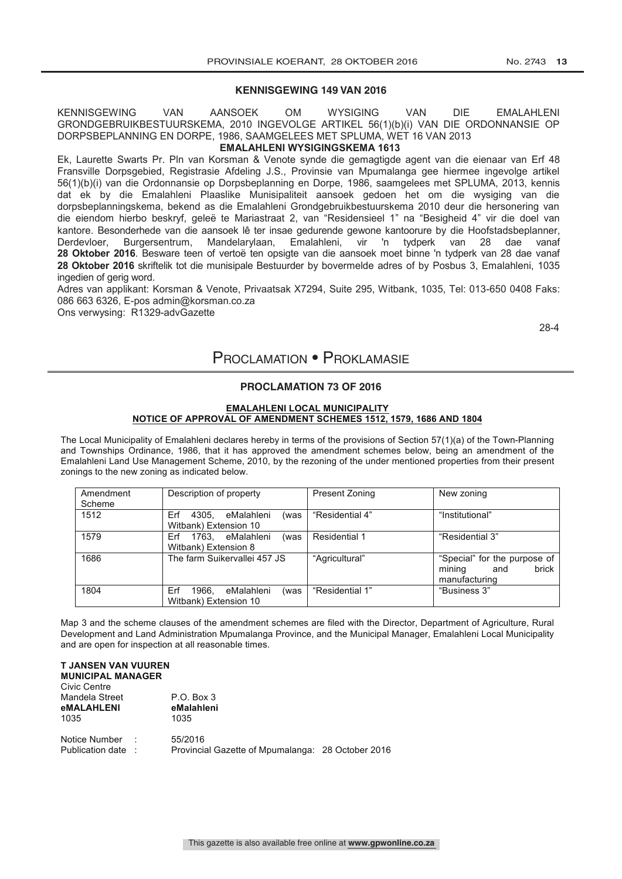#### **KENNISGEWING 149 VAN 2016**

KENNISGEWING VAN AANSOEK OM WYSIGING VAN DIE EMALAHLENI GRONDGEBRUIKBESTUURSKEMA, 2010 INGEVOLGE ARTIKEL 56(1)(b)(i) VAN DIE ORDONNANSIE OP DORPSBEPLANNING EN DORPE, 1986, SAAMGELEES MET SPLUMA, WET 16 VAN 2013

# **EMALAHLENI WYSIGINGSKEMA 1613**

Ek, Laurette Swarts Pr. Pln van Korsman & Venote synde die gemagtigde agent van die eienaar van Erf 48 Fransville Dorpsgebied, Registrasie Afdeling J.S., Provinsie van Mpumalanga gee hiermee ingevolge artikel 56(1)(b)(i) van die Ordonnansie op Dorpsbeplanning en Dorpe, 1986, saamgelees met SPLUMA, 2013, kennis dat ek by die Emalahleni Plaaslike Munisipaliteit aansoek gedoen het om die wysiging van die dorpsbeplanningskema, bekend as die Emalahleni Grondgebruikbestuurskema 2010 deur die hersonering van die eiendom hierbo beskryf, geleë te Mariastraat 2, van "Residensieel 1" na "Besigheid 4" vir die doel van kantore. Besonderhede van die aansoek lê ter insae gedurende gewone kantoorure by die Hoofstadsbeplanner,<br>Derdevloer, Burgersentrum, Mandelarylaan, Emalahleni, vir 'n tydperk van 28 dae vanaf Derdevloer, Burgersentrum, Mandelarylaan, Emalahleni, vir 'n tydperk van 28 dae vanaf **28 Oktober 2016**. Besware teen of vertoë ten opsigte van die aansoek moet binne 'n tydperk van 28 dae vanaf **28 Oktober 2016** skriftelik tot die munisipale Bestuurder by bovermelde adres of by Posbus 3, Emalahleni, 1035 ingedien of gerig word.

Adres van applikant: Korsman & Venote, Privaatsak X7294, Suite 295, Witbank, 1035, Tel: 013-650 0408 Faks: 086 663 6326, E-pos admin@korsman.co.za

Ons verwysing: R1329-advGazette

28-4

# Proclamation • Proklamasie

# $2010$  In Terms of Section 56 (1)(b)(i) OF The Townships ordinal  $\alpha$ **PROCLAMATION 73 OF 2016**

#### $EMALAHLENI LOGL MUNICIPALITY$ </u> Township, Registration Division J.S., Province of Mpumalanga, hereby give notice in terms of Section 56(1)(b)(i) **NOTICE OF APPROVAL OF AMENDMENT SCHEMES 1512, 1579, 1686 AND 1804**

of the Town Planning and Townships Ordinance, 1986, read together with SPLUMA, 2013, that I have applied to The Local Municipality of Emalahleni declares hereby in terms of the provisions of Section  $57(1)(a)$  of the Town-Planning and Townships Ordinative, 1900, that it has applywed the annehment Scheme below, belief at annehment of the er<br>molecules is not the Management Scheme 2010 by the reasons of the under modern more from their present Emalahleni Land Use Management Scheme, 2010, by the rezoning of the under mentioned properties from their present<br>zonings to the new zoning as indicated below. normal office hours at the office of the Chief Town Planner, third Floor, Civic Centre, Mandela Avenue, and Townships Ordinance, 1986, that it has approved the amendment schemes below, being an amendment of the zonings to the new zoning as indicated below.

| Amendment<br>Scheme | Description of property                                     | Present Zoning  | New zoning                                                              |
|---------------------|-------------------------------------------------------------|-----------------|-------------------------------------------------------------------------|
| 1512                | 4305. eMalahleni<br>Erf<br>(was<br>Witbank) Extension 10    | "Residential 4" | "Institutional"                                                         |
| 1579                | 1763. eMalahleni<br>Erf<br>(was<br>Witbank) Extension 8     | Residential 1   | "Residential 3"                                                         |
| 1686                | The farm Suikervallei 457 JS                                | "Agricultural"  | "Special" for the purpose of<br>mining<br>brick<br>and<br>manufacturing |
| 1804                | 1966.<br>eMalahleni<br>Erf<br>(was<br>Witbank) Extension 10 | "Residential 1" | "Business 3"                                                            |

Map 3 and the scheme clauses of the amendment schemes are filed with the Director, Department of Agriculture, Rural Development and Land Administration Mpumalanga Province, and the Municipal Manager, Emalahleni Local Municipality and are open for inspection at all reasonable times.

# **T JANSEN VAN VUUREN**

| <b>MUNICIPAL MANAGER</b><br>Civic Centre |                                                              |  |
|------------------------------------------|--------------------------------------------------------------|--|
| Mandela Street                           | P.O. Box 3                                                   |  |
| <b>eMALAHLENI</b><br>1035                | eMalahleni<br>1035                                           |  |
| Notice Number :<br>Publication date:     | 55/2016<br>Provincial Gazette of Mpumalanga: 28 October 2016 |  |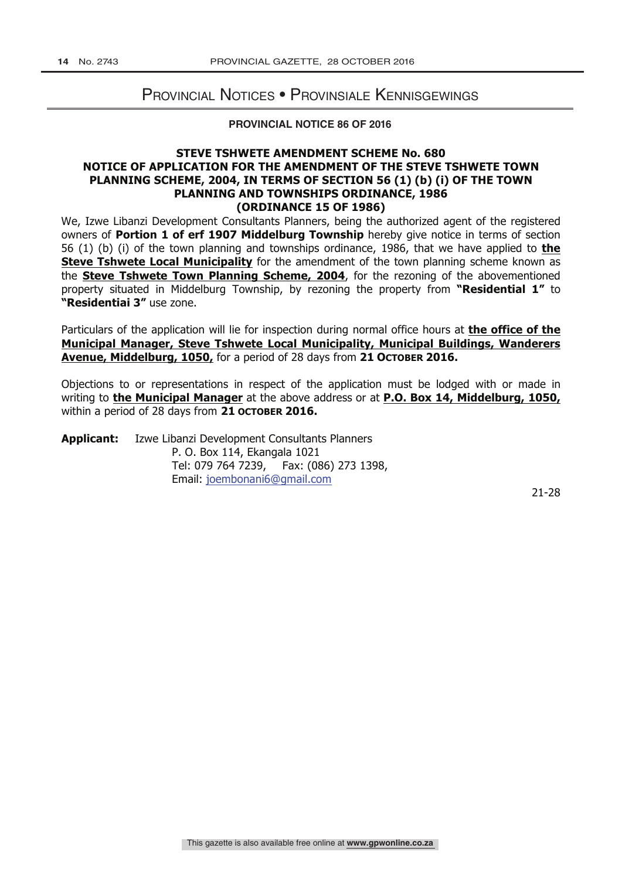# Provincial Notices • Provinsiale Kennisgewings

# **PROVINCIAL NOTICE 86 OF 2016**

# **STEVE TSHWETE AMENDMENT SCHEME No. 680 NOTICE OF APPLICATION FOR THE AMENDMENT OF THE STEVE TSHWETE TOWN PLANNING SCHEME, 2004, IN TERMS OF SECTION 56 (1) (b) (i) OF THE TOWN PLANNING AND TOWNSHIPS ORDINANCE, 1986 (ORDINANCE 15 OF 1986)**

We, Izwe Libanzi Development Consultants Planners, being the authorized agent of the registered owners of **Portion 1 of erf 1907 Middelburg Township** hereby give notice in terms of section 56 (1) (b) (i) of the town planning and townships ordinance, 1986, that we have applied to **the Steve Tshwete Local Municipality** for the amendment of the town planning scheme known as the **Steve Tshwete Town Planning Scheme, 2004**, for the rezoning of the abovementioned property situated in Middelburg Township, by rezoning the property from **"Residential 1"** to **"Residentiai 3"** use zone.

Particulars of the application will lie for inspection during normal office hours at **the office of the Municipal Manager, Steve Tshwete Local Municipality, Municipal Buildings, Wanderers Avenue, Middelburg, 1050,** for a period of 28 days from **21 OCTOBER 2016.**

Objections to or representations in respect of the application must be lodged with or made in writing to **the Municipal Manager** at the above address or at **P.O. Box 14, Middelburg, 1050,** within a period of 28 days from **21 OCTOBER 2016.**

**Applicant:** Izwe Libanzi Development Consultants Planners P. O. Box 114, Ekangala 1021 Tel: 079 764 7239, Fax: (086) 273 1398, Email: joembonani6@gmail.com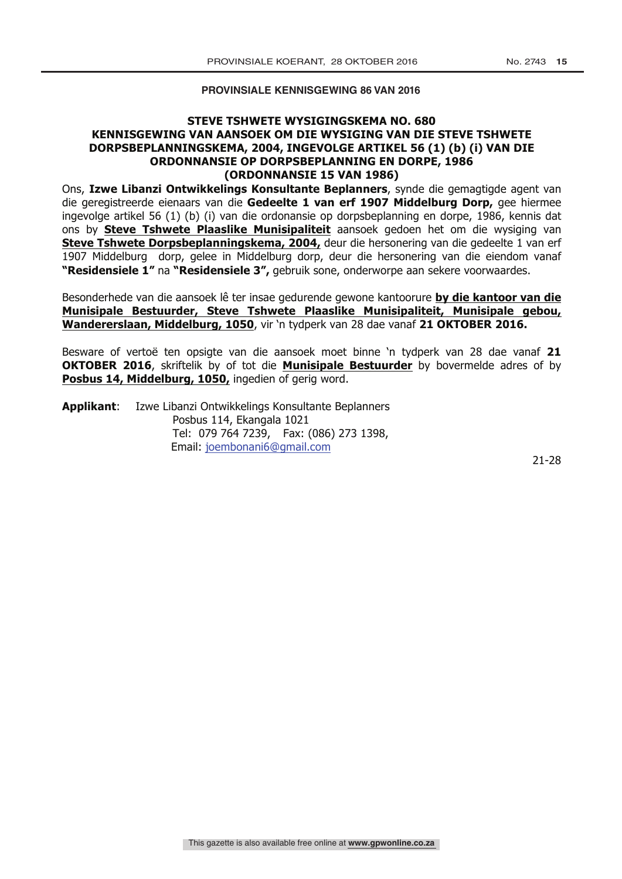# **PROVINSIALE KENNISGEWING 86 VAN 2016**

# **STEVE TSHWETE WYSIGINGSKEMA NO. 680 KENNISGEWING VAN AANSOEK OM DIE WYSIGING VAN DIE STEVE TSHWETE DORPSBEPLANNINGSKEMA, 2004, INGEVOLGE ARTIKEL 56 (1) (b) (i) VAN DIE ORDONNANSIE OP DORPSBEPLANNING EN DORPE, 1986 (ORDONNANSIE 15 VAN 1986)**

Ons, **Izwe Libanzi Ontwikkelings Konsultante Beplanners**, synde die gemagtigde agent van die geregistreerde eienaars van die **Gedeelte 1 van erf 1907 Middelburg Dorp,** gee hiermee ingevolge artikel 56 (1) (b) (i) van die ordonansie op dorpsbeplanning en dorpe, 1986, kennis dat ons by **Steve Tshwete Plaaslike Munisipaliteit** aansoek gedoen het om die wysiging van **Steve Tshwete Dorpsbeplanningskema, 2004,** deur die hersonering van die gedeelte 1 van erf 1907 Middelburg dorp, gelee in Middelburg dorp, deur die hersonering van die eiendom vanaf **"Residensiele 1"** na **"Residensiele 3",** gebruik sone, onderworpe aan sekere voorwaardes.

Besonderhede van die aansoek lê ter insae gedurende gewone kantoorure **by die kantoor van die Munisipale Bestuurder, Steve Tshwete Plaaslike Munisipaliteit, Munisipale gebou, Wandererslaan, Middelburg, 1050**, vir 'n tydperk van 28 dae vanaf **21 OKTOBER 2016.**

Besware of vertoë ten opsigte van die aansoek moet binne 'n tydperk van 28 dae vanaf **21 OKTOBER 2016**, skriftelik by of tot die **Munisipale Bestuurder** by bovermelde adres of by **Posbus 14, Middelburg, 1050,** ingedien of gerig word.

**Applikant**: Izwe Libanzi Ontwikkelings Konsultante Beplanners Posbus 114, Ekangala 1021 Tel: 079 764 7239, Fax: (086) 273 1398, Email: joembonani6@gmail.com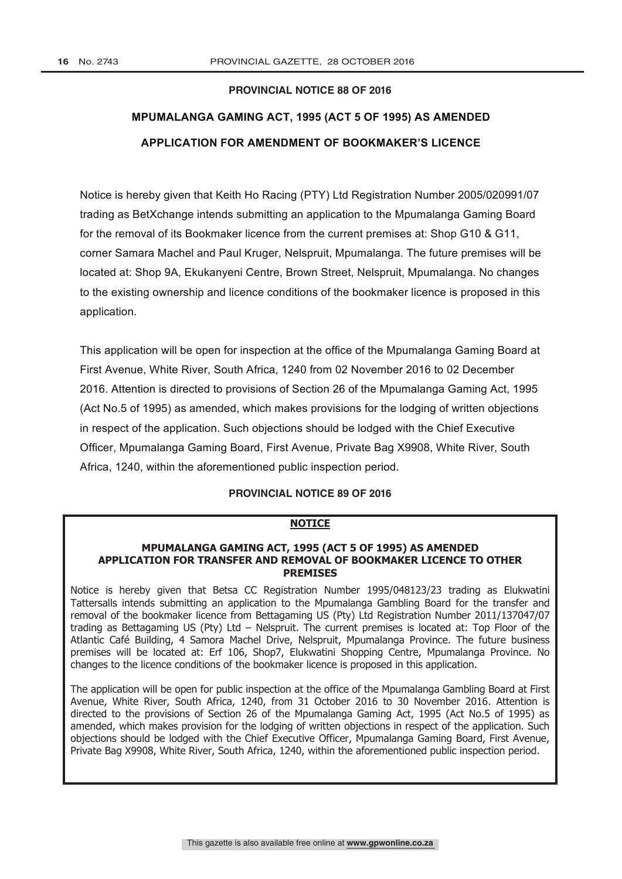# **PROVINCIAL NOTICE 88 OF 2016**

# **MPUMALANGA GAMING ACT, 1995 (ACT 5 OF 1995) AS AMENDED APPLICATION FOR AMENDMENT OF BOOKMAKER'S LICENCE**

Notice is hereby given that Keith Ho Racing (PTY) Ltd Registration Number 2005/020991/07 trading as BetXchange intends submitting an application to the Mpumalanga Gaming Board for the removal of its Bookmaker licence from the current premises at: Shop G10 & G11, corner Samara Machel and Paul Kruger, Nelspruit, Mpumalanga. The future premises will be located at: Shop 9A, Ekukanyeni Centre, Brown Street, Nelspruit, Mpumalanga. No changes to the existing ownership and licence conditions of the bookmaker licence is proposed in this application.

This application will be open for inspection at the office of the Mpumalanga Gaming Board at First Avenue, White River, South Africa, 1240 from 02 November 2016 to 02 December 2016. Attention is directed to provisions of Section 26 of the Mpumalanga Gaming Act, 1995 (Act No.5 of 1995) as amended, which makes provisions for the lodging of written objections in respect of the application. Such objections should be lodged with the Chief Executive Officer, Mpumalanga Gaming Board, First Avenue, Private Bag X9908, White River, South Africa, 1240, within the aforementioned public inspection period.

# **PROVINCIAL NOTICE 89 OF 2016**

### **NOTICE**

# **MPUMALANGA GAMING ACT, 1995 (ACT 5 OF 1995) AS AMENDED APPLICATION FOR TRANSFER AND REMOVAL OF BOOKMAKER LICENCE TO OTHER PREMISES**

Notice is hereby given that Betsa CC Registration Number 1995/048123/23 trading as Elukwatini Tattersalls intends submitting an application to the Mpumalanga Gambling Board for the transfer and removal of the bookmaker licence from Bettagaming US (Pty) Ltd Registration Number 2011/137047/07 trading as Bettagaming US (Pty) Ltd – Nelspruit. The current premises is located at: Top Floor of the Atlantic Café Building, 4 Samora Machel Drive, Nelspruit, Mpumalanga Province. The future business premises will be located at: Erf 106, Shop7, Elukwatini Shopping Centre, Mpumalanga Province. No changes to the licence conditions of the bookmaker licence is proposed in this application.

The application will be open for public inspection at the office of the Mpumalanga Gambling Board at First Avenue, White River, South Africa, 1240, from 31 October 2016 to 30 November 2016. Attention is directed to the provisions of Section 26 of the Mpumalanga Gaming Act, 1995 (Act No.5 of 1995) as amended, which makes provision for the lodging of written objections in respect of the application. Such objections should be lodged with the Chief Executive Officer, Mpumalanga Gaming Board, First Avenue, Private Bag X9908, White River, South Africa, 1240, within the aforementioned public inspection period.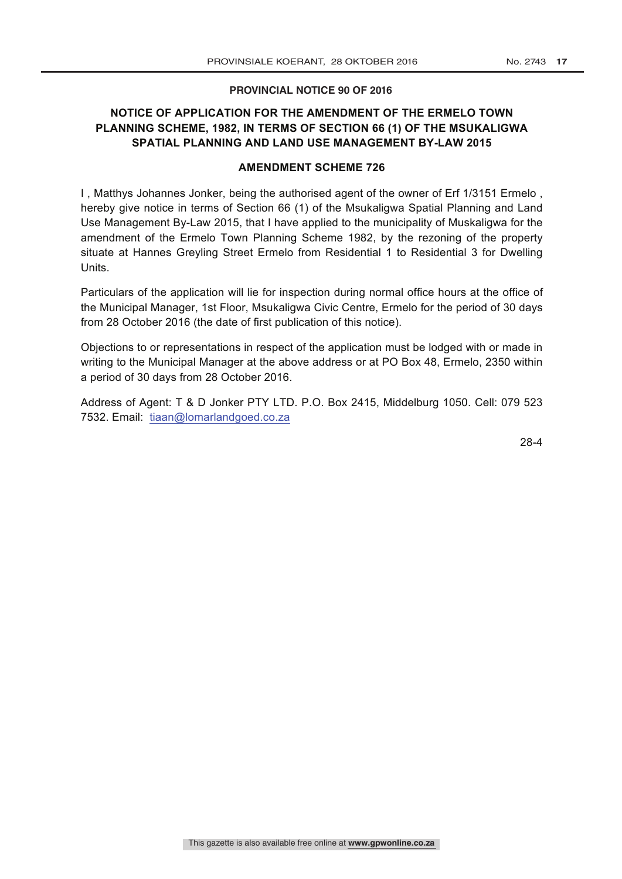# **PROVINCIAL NOTICE 90 OF 2016**

# **NOTICE OF APPLICATION FOR THE AMENDMENT OF THE ERMELO TOWN PLANNING SCHEME, 1982, IN TERMS OF SECTION 66 (1) OF THE MSUKALIGWA SPATIAL PLANNING AND LAND USE MANAGEMENT BY-LAW 2015**

# **AMENDMENT SCHEME 726**

I , Matthys Johannes Jonker, being the authorised agent of the owner of Erf 1/3151 Ermelo , hereby give notice in terms of Section 66 (1) of the Msukaligwa Spatial Planning and Land Use Management By-Law 2015, that I have applied to the municipality of Muskaligwa for the amendment of the Ermelo Town Planning Scheme 1982, by the rezoning of the property situate at Hannes Greyling Street Ermelo from Residential 1 to Residential 3 for Dwelling Units.

Particulars of the application will lie for inspection during normal office hours at the office of the Municipal Manager, 1st Floor, Msukaligwa Civic Centre, Ermelo for the period of 30 days from 28 October 2016 (the date of first publication of this notice).

Objections to or representations in respect of the application must be lodged with or made in writing to the Municipal Manager at the above address or at PO Box 48, Ermelo, 2350 within a period of 30 days from 28 October 2016.

Address of Agent: T & D Jonker PTY LTD. P.O. Box 2415, Middelburg 1050. Cell: 079 523 7532. Email: tiaan@lomarlandgoed.co.za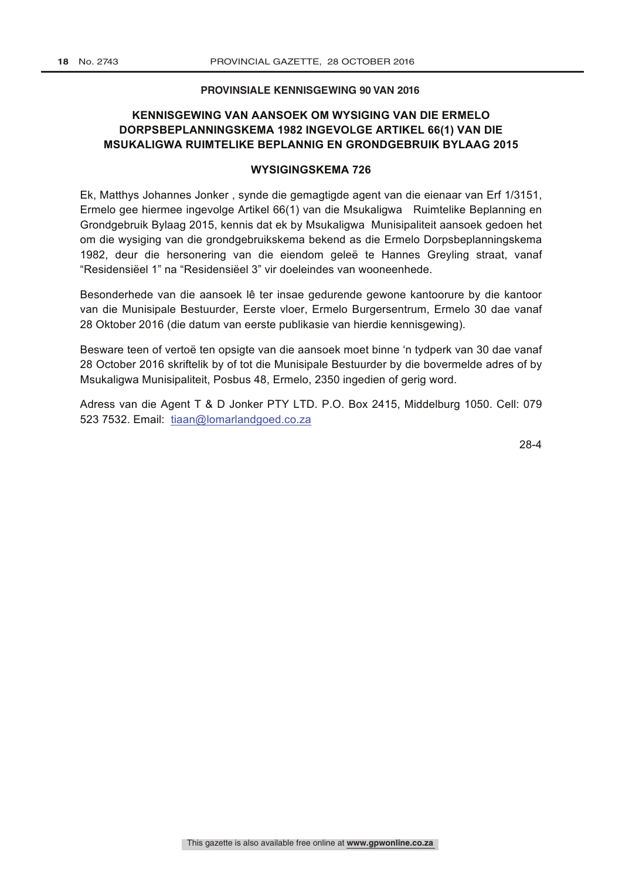# **PROVINSIALE KENNISGEWING 90 VAN 2016**

# **KENNISGEWING VAN AANSOEK OM WYSIGING VAN DIE ERMELO DORPSBEPLANNINGSKEMA 1982 INGEVOLGE ARTIKEL 66(1) VAN DIE MSUKALIGWA RUIMTELIKE BEPLANNIG EN GRONDGEBRUIK BYLAAG 2015**

# **WYSIGINGSKEMA 726**

Ek, Matthys Johannes Jonker , synde die gemagtigde agent van die eienaar van Erf 1/3151, Ermelo gee hiermee ingevolge Artikel 66(1) van die Msukaligwa Ruimtelike Beplanning en Grondgebruik Bylaag 2015, kennis dat ek by Msukaligwa Munisipaliteit aansoek gedoen het om die wysiging van die grondgebruikskema bekend as die Ermelo Dorpsbeplanningskema 1982, deur die hersonering van die eiendom geleë te Hannes Greyling straat, vanaf "Residensiëel 1" na "Residensiëel 3" vir doeleindes van wooneenhede.

Besonderhede van die aansoek lê ter insae gedurende gewone kantoorure by die kantoor van die Munisipale Bestuurder, Eerste vloer, Ermelo Burgersentrum, Ermelo 30 dae vanaf 28 Oktober 2016 (die datum van eerste publikasie van hierdie kennisgewing).

Besware teen of vertoë ten opsigte van die aansoek moet binne 'n tydperk van 30 dae vanaf 28 October 2016 skriftelik by of tot die Munisipale Bestuurder by die bovermelde adres of by Msukaligwa Munisipaliteit, Posbus 48, Ermelo, 2350 ingedien of gerig word.

Adress van die Agent T & D Jonker PTY LTD. P.O. Box 2415, Middelburg 1050. Cell: 079 523 7532. Email: tiaan@lomarlandgoed.co.za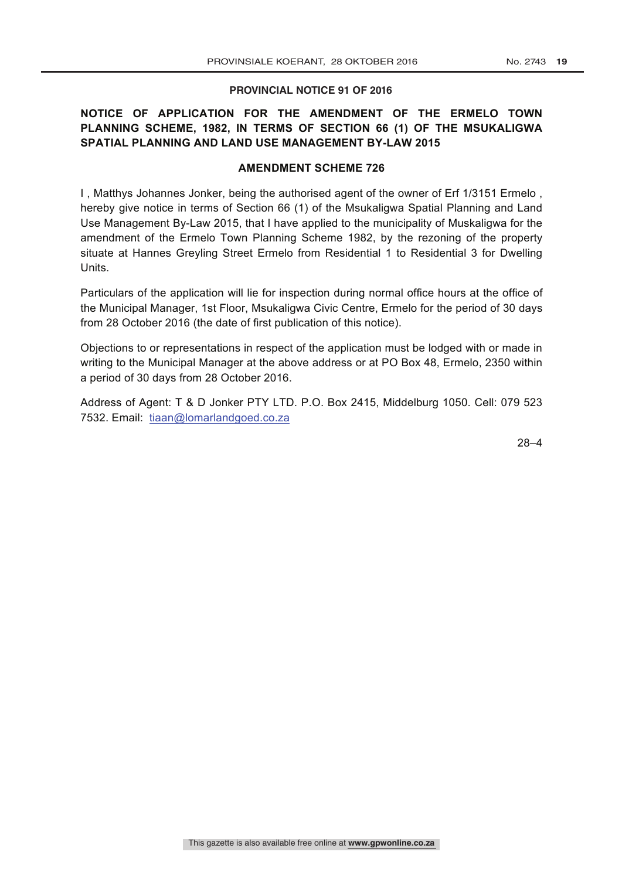## **PROVINCIAL NOTICE 91 OF 2016**

# **NOTICE OF APPLICATION FOR THE AMENDMENT OF THE ERMELO TOWN PLANNING SCHEME, 1982, IN TERMS OF SECTION 66 (1) OF THE MSUKALIGWA SPATIAL PLANNING AND LAND USE MANAGEMENT BY-LAW 2015**

# **AMENDMENT SCHEME 726**

I , Matthys Johannes Jonker, being the authorised agent of the owner of Erf 1/3151 Ermelo , hereby give notice in terms of Section 66 (1) of the Msukaligwa Spatial Planning and Land Use Management By-Law 2015, that I have applied to the municipality of Muskaligwa for the amendment of the Ermelo Town Planning Scheme 1982, by the rezoning of the property situate at Hannes Greyling Street Ermelo from Residential 1 to Residential 3 for Dwelling Units.

Particulars of the application will lie for inspection during normal office hours at the office of the Municipal Manager, 1st Floor, Msukaligwa Civic Centre, Ermelo for the period of 30 days from 28 October 2016 (the date of first publication of this notice).

Objections to or representations in respect of the application must be lodged with or made in writing to the Municipal Manager at the above address or at PO Box 48, Ermelo, 2350 within a period of 30 days from 28 October 2016.

Address of Agent: T & D Jonker PTY LTD. P.O. Box 2415, Middelburg 1050. Cell: 079 523 7532. Email: tiaan@lomarlandgoed.co.za

28–4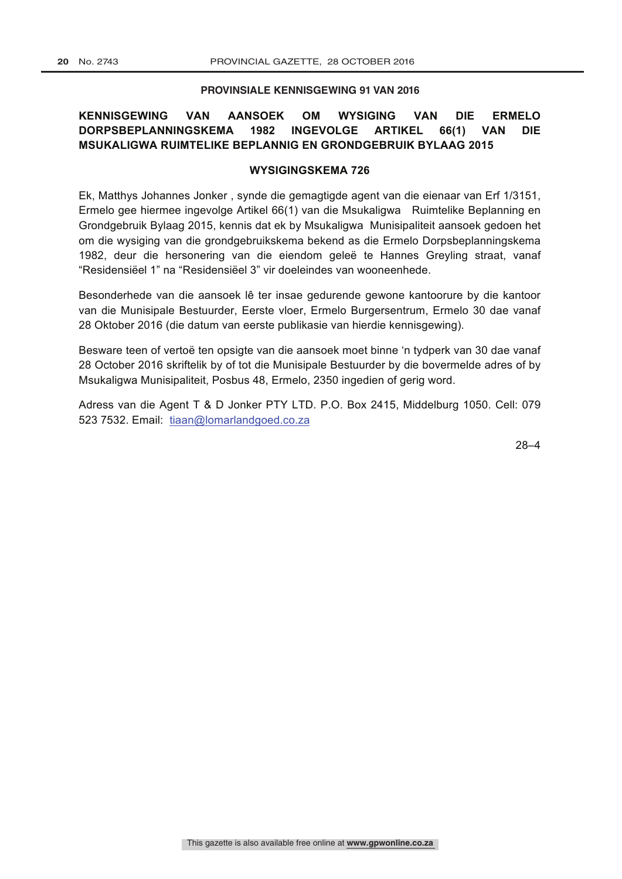# **PROVINSIALE KENNISGEWING 91 VAN 2016**

# **KENNISGEWING VAN AANSOEK OM WYSIGING VAN DIE ERMELO DORPSBEPLANNINGSKEMA 1982 INGEVOLGE ARTIKEL 66(1) VAN DIE MSUKALIGWA RUIMTELIKE BEPLANNIG EN GRONDGEBRUIK BYLAAG 2015**

# **WYSIGINGSKEMA 726**

Ek, Matthys Johannes Jonker , synde die gemagtigde agent van die eienaar van Erf 1/3151, Ermelo gee hiermee ingevolge Artikel 66(1) van die Msukaligwa Ruimtelike Beplanning en Grondgebruik Bylaag 2015, kennis dat ek by Msukaligwa Munisipaliteit aansoek gedoen het om die wysiging van die grondgebruikskema bekend as die Ermelo Dorpsbeplanningskema 1982, deur die hersonering van die eiendom geleë te Hannes Greyling straat, vanaf "Residensiëel 1" na "Residensiëel 3" vir doeleindes van wooneenhede.

Besonderhede van die aansoek lê ter insae gedurende gewone kantoorure by die kantoor van die Munisipale Bestuurder, Eerste vloer, Ermelo Burgersentrum, Ermelo 30 dae vanaf 28 Oktober 2016 (die datum van eerste publikasie van hierdie kennisgewing).

Besware teen of vertoë ten opsigte van die aansoek moet binne 'n tydperk van 30 dae vanaf 28 October 2016 skriftelik by of tot die Munisipale Bestuurder by die bovermelde adres of by Msukaligwa Munisipaliteit, Posbus 48, Ermelo, 2350 ingedien of gerig word.

Adress van die Agent T & D Jonker PTY LTD. P.O. Box 2415, Middelburg 1050. Cell: 079 523 7532. Email: tiaan@lomarlandgoed.co.za

28–4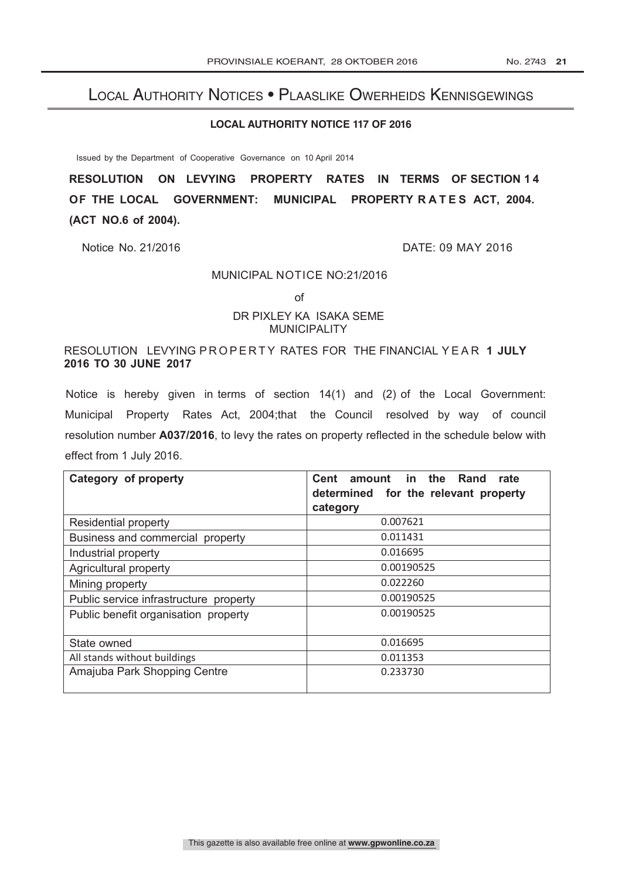# Local Authority Notices • Plaaslike Owerheids Kennisgewings

# **LOCAL AUTHORITY NOTICE 117 OF 2016**

Issued by the Department of Cooperative Governance on 10 April 2014

**RESOLUTION ON LEVYING PROPERTY RATES IN TERMS OF SECTION 1 4 OF THE LOCAL GOVERNMENT: MUNICIPAL PROPERTY R A T E S ACT, 2004. (ACT NO.6 of 2004).**

Notice No. 21/2016 **DATE: 09 MAY 2016** 

# MUNICIPAL NOTICE NO:21/2016

of

DR PIXLEY KA ISAKA SEME MUNICIPALITY

# RESOLUTION LEVYING PROPERTY RATES FOR THE FINANCIAL YEAR 1 JULY **2016 TO 30 JUNE 2017**

Notice is hereby given in terms of section 14(1) and (2) of the Local Government: Municipal Property Rates Act, 2004;that the Council resolved by way of council resolution number **A037/2016**, to levy the rates on property reflected in the schedule below with effect from 1 July 2016.

| Category of property                   | amount in the Rand<br>Cent<br>rate<br>determined for the relevant property |
|----------------------------------------|----------------------------------------------------------------------------|
|                                        | category                                                                   |
| <b>Residential property</b>            | 0.007621                                                                   |
| Business and commercial property       | 0.011431                                                                   |
| Industrial property                    | 0.016695                                                                   |
| Agricultural property                  | 0.00190525                                                                 |
| Mining property                        | 0.022260                                                                   |
| Public service infrastructure property | 0.00190525                                                                 |
| Public benefit organisation property   | 0.00190525                                                                 |
|                                        |                                                                            |
| State owned                            | 0.016695                                                                   |
| All stands without buildings           | 0.011353                                                                   |
| Amajuba Park Shopping Centre           | 0.233730                                                                   |
|                                        |                                                                            |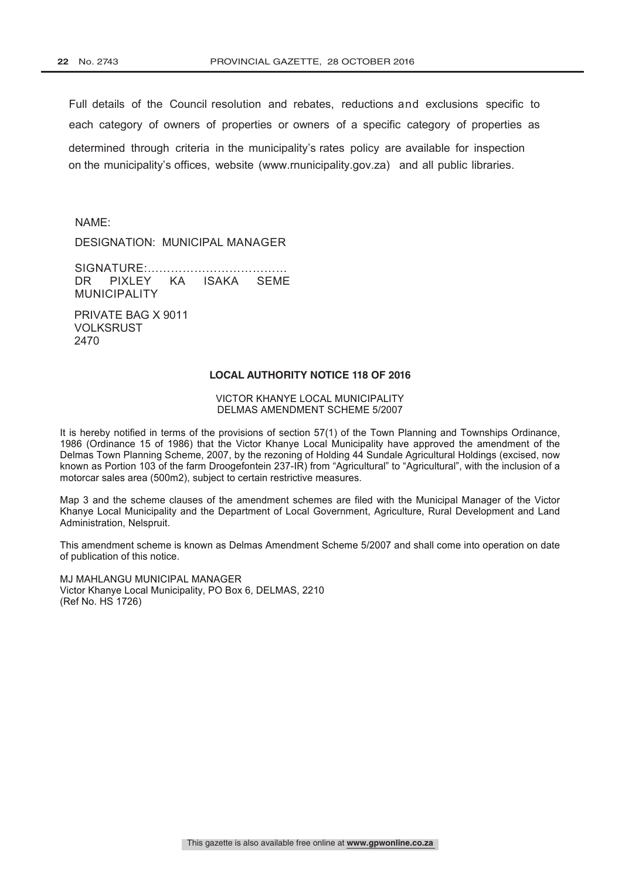determined through criteria in the municipality's rates policy are available for inspection on the municipality's offices, website (www.rnunicipality.gov.za) and all public libraries. Full details of the Council resolution and rebates, reductions and exclusions specific to each category of owners of properties or owners of a specific category of properties as

NAME:

DESIGNATION: MUNICIPAL MANAGER

SIGNATURE:……………………………… DR PIXLEY KA ISAKA SEME MUNICIPALITY

PRIVATE BAG X 9011 **VOLKSRUST** 2470

# **LOCAL AUTHORITY NOTICE 118 OF 2016**

VICTOR KHANYE LOCAL MUNICIPALITY DELMAS AMENDMENT SCHEME 5/2007

It is hereby notified in terms of the provisions of section 57(1) of the Town Planning and Townships Ordinance, 1986 (Ordinance 15 of 1986) that the Victor Khanye Local Municipality have approved the amendment of the Delmas Town Planning Scheme, 2007, by the rezoning of Holding 44 Sundale Agricultural Holdings (excised, now known as Portion 103 of the farm Droogefontein 237-IR) from "Agricultural" to "Agricultural", with the inclusion of a motorcar sales area (500m2), subject to certain restrictive measures.

Map 3 and the scheme clauses of the amendment schemes are filed with the Municipal Manager of the Victor Khanye Local Municipality and the Department of Local Government, Agriculture, Rural Development and Land Administration, Nelspruit.

This amendment scheme is known as Delmas Amendment Scheme 5/2007 and shall come into operation on date of publication of this notice.

MJ MAHLANGU MUNICIPAL MANAGER Victor Khanye Local Municipality, PO Box 6, DELMAS, 2210 (Ref No. HS 1726)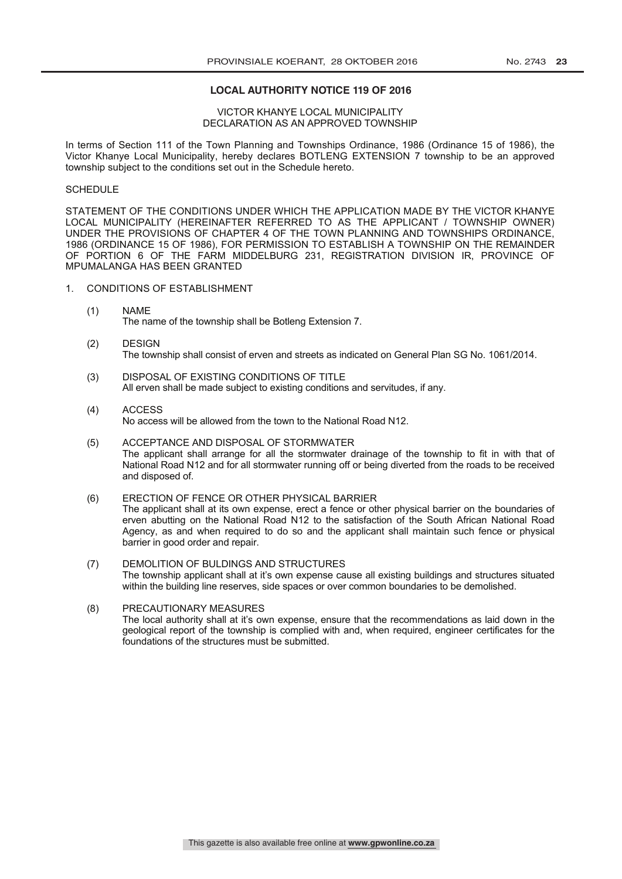# **LOCAL AUTHORITY NOTICE 119 OF 2016**

#### VICTOR KHANYE LOCAL MUNICIPALITY DECLARATION AS AN APPROVED TOWNSHIP

In terms of Section 111 of the Town Planning and Townships Ordinance, 1986 (Ordinance 15 of 1986), the Victor Khanye Local Municipality, hereby declares BOTLENG EXTENSION 7 township to be an approved township subject to the conditions set out in the Schedule hereto.

#### SCHEDULE

STATEMENT OF THE CONDITIONS UNDER WHICH THE APPLICATION MADE BY THE VICTOR KHANYE LOCAL MUNICIPALITY (HEREINAFTER REFERRED TO AS THE APPLICANT / TOWNSHIP OWNER) UNDER THE PROVISIONS OF CHAPTER 4 OF THE TOWN PLANNING AND TOWNSHIPS ORDINANCE, 1986 (ORDINANCE 15 OF 1986), FOR PERMISSION TO ESTABLISH A TOWNSHIP ON THE REMAINDER OF PORTION 6 OF THE FARM MIDDELBURG 231, REGISTRATION DIVISION IR, PROVINCE OF MPUMALANGA HAS BEEN GRANTED

- 1. CONDITIONS OF ESTABLISHMENT
	- (1) NAME The name of the township shall be Botleng Extension 7.
	- (2) DESIGN The township shall consist of erven and streets as indicated on General Plan SG No. 1061/2014.
	- (3) DISPOSAL OF EXISTING CONDITIONS OF TITLE All erven shall be made subject to existing conditions and servitudes, if any.
	- (4) ACCESS No access will be allowed from the town to the National Road N12.
	- (5) ACCEPTANCE AND DISPOSAL OF STORMWATER The applicant shall arrange for all the stormwater drainage of the township to fit in with that of National Road N12 and for all stormwater running off or being diverted from the roads to be received and disposed of.
	- (6) ERECTION OF FENCE OR OTHER PHYSICAL BARRIER The applicant shall at its own expense, erect a fence or other physical barrier on the boundaries of erven abutting on the National Road N12 to the satisfaction of the South African National Road Agency, as and when required to do so and the applicant shall maintain such fence or physical barrier in good order and repair.
	- (7) DEMOLITION OF BULDINGS AND STRUCTURES The township applicant shall at it's own expense cause all existing buildings and structures situated within the building line reserves, side spaces or over common boundaries to be demolished.
	- (8) PRECAUTIONARY MEASURES The local authority shall at it's own expense, ensure that the recommendations as laid down in the geological report of the township is complied with and, when required, engineer certificates for the foundations of the structures must be submitted.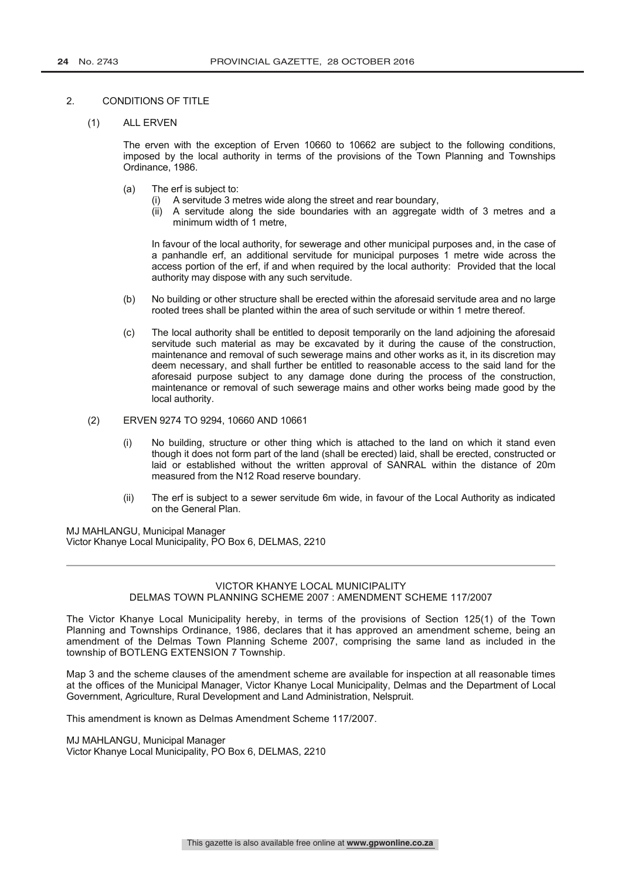#### 2. CONDITIONS OF TITLE

#### (1) ALL ERVEN

The erven with the exception of Erven 10660 to 10662 are subject to the following conditions, imposed by the local authority in terms of the provisions of the Town Planning and Townships Ordinance, 1986.

- (a) The erf is subject to:
	- (i) A servitude 3 metres wide along the street and rear boundary,
	- (ii) A servitude along the side boundaries with an aggregate width of 3 metres and a minimum width of 1 metre,

In favour of the local authority, for sewerage and other municipal purposes and, in the case of a panhandle erf, an additional servitude for municipal purposes 1 metre wide across the access portion of the erf, if and when required by the local authority: Provided that the local authority may dispose with any such servitude.

- (b) No building or other structure shall be erected within the aforesaid servitude area and no large rooted trees shall be planted within the area of such servitude or within 1 metre thereof.
- (c) The local authority shall be entitled to deposit temporarily on the land adjoining the aforesaid servitude such material as may be excavated by it during the cause of the construction, maintenance and removal of such sewerage mains and other works as it, in its discretion may deem necessary, and shall further be entitled to reasonable access to the said land for the aforesaid purpose subject to any damage done during the process of the construction, maintenance or removal of such sewerage mains and other works being made good by the local authority.
- (2) ERVEN 9274 TO 9294, 10660 AND 10661
	- (i) No building, structure or other thing which is attached to the land on which it stand even though it does not form part of the land (shall be erected) laid, shall be erected, constructed or laid or established without the written approval of SANRAL within the distance of 20m measured from the N12 Road reserve boundary.
	- (ii) The erf is subject to a sewer servitude 6m wide, in favour of the Local Authority as indicated on the General Plan.

MJ MAHLANGU, Municipal Manager Victor Khanye Local Municipality, PO Box 6, DELMAS, 2210

# VICTOR KHANYE LOCAL MUNICIPALITY DELMAS TOWN PLANNING SCHEME 2007 : AMENDMENT SCHEME 117/2007

The Victor Khanye Local Municipality hereby, in terms of the provisions of Section 125(1) of the Town Planning and Townships Ordinance, 1986, declares that it has approved an amendment scheme, being an amendment of the Delmas Town Planning Scheme 2007, comprising the same land as included in the township of BOTLENG EXTENSION 7 Township.

Map 3 and the scheme clauses of the amendment scheme are available for inspection at all reasonable times at the offices of the Municipal Manager, Victor Khanye Local Municipality, Delmas and the Department of Local Government, Agriculture, Rural Development and Land Administration, Nelspruit.

This amendment is known as Delmas Amendment Scheme 117/2007.

MJ MAHLANGU, Municipal Manager Victor Khanye Local Municipality, PO Box 6, DELMAS, 2210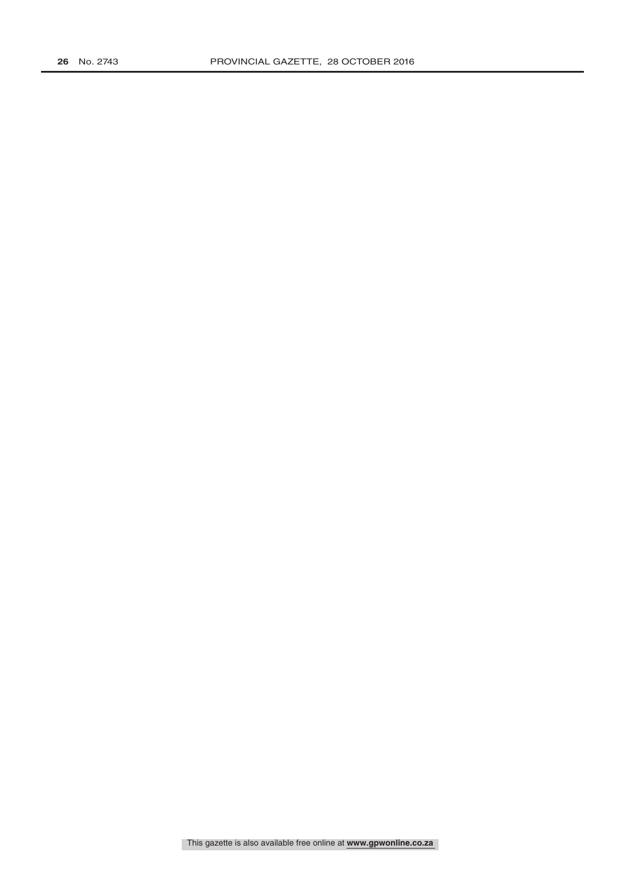This gazette is also available free online at **www.gpwonline.co.za**